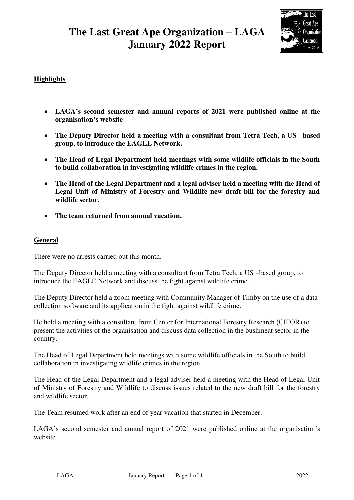# **The Last Great Ape Organization – LAGA January 2022 Report**



# **Highlights**

- **LAGA's second semester and annual reports of 2021 were published online at the organisation's website**
- **The Deputy Director held a meeting with a consultant from Tetra Tech, a US –based group, to introduce the EAGLE Network.**
- **The Head of Legal Department held meetings with some wildlife officials in the South to build collaboration in investigating wildlife crimes in the region.**
- **The Head of the Legal Department and a legal adviser held a meeting with the Head of Legal Unit of Ministry of Forestry and Wildlife new draft bill for the forestry and wildlife sector.**
- **The team returned from annual vacation.**

### **General**

There were no arrests carried out this month.

The Deputy Director held a meeting with a consultant from Tetra Tech, a US –based group, to introduce the EAGLE Network and discuss the fight against wildlife crime.

The Deputy Director held a zoom meeting with Community Manager of Timby on the use of a data collection software and its application in the fight against wildlife crime.

He held a meeting with a consultant from Center for International Forestry Research (CIFOR) to present the activities of the organisation and discuss data collection in the bushmeat sector in the country.

The Head of Legal Department held meetings with some wildlife officials in the South to build collaboration in investigating wildlife crimes in the region.

The Head of the Legal Department and a legal adviser held a meeting with the Head of Legal Unit of Ministry of Forestry and Wildlife to discuss issues related to the new draft bill for the forestry and wildlife sector.

The Team resumed work after an end of year vacation that started in December.

LAGA's second semester and annual report of 2021 were published online at the organisation's website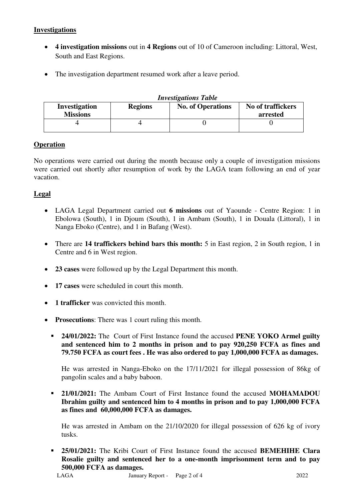# **Investigations**

- **4 investigation missions** out in **4 Regions** out of 10 of Cameroon including: Littoral, West, South and East Regions.
- The investigation department resumed work after a leave period.

#### *Investigations Table*

| $\ldots$ . $\ldots$ . $\ldots$ . $\ldots$ . $\ldots$ |                |                          |                               |  |  |  |  |
|------------------------------------------------------|----------------|--------------------------|-------------------------------|--|--|--|--|
| Investigation<br><b>Missions</b>                     | <b>Regions</b> | <b>No. of Operations</b> | No of traffickers<br>arrested |  |  |  |  |
|                                                      |                |                          |                               |  |  |  |  |

### **Operation**

No operations were carried out during the month because only a couple of investigation missions were carried out shortly after resumption of work by the LAGA team following an end of year vacation.

#### **Legal**

- LAGA Legal Department carried out **6 missions** out of Yaounde Centre Region: 1 in Ebolowa (South), 1 in Djoum (South), 1 in Ambam (South), 1 in Douala (Littoral), 1 in Nanga Eboko (Centre), and 1 in Bafang (West).
- There are **14 traffickers behind bars this month:** 5 in East region, 2 in South region, 1 in Centre and 6 in West region.
- **23 cases** were followed up by the Legal Department this month.
- **17 cases** were scheduled in court this month.
- **1 trafficker** was convicted this month.
- **Prosecutions**: There was 1 court ruling this month.
	- **24/01/2022:** The Court of First Instance found the accused **PENE YOKO Armel guilty and sentenced him to 2 months in prison and to pay 920,250 FCFA as fines and 79.750 FCFA as court fees . He was also ordered to pay 1,000,000 FCFA as damages.**

He was arrested in Nanga-Eboko on the 17/11/2021 for illegal possession of 86kg of pangolin scales and a baby baboon.

 **21/01/2021:** The Ambam Court of First Instance found the accused **MOHAMADOU Ibrahim guilty and sentenced him to 4 months in prison and to pay 1,000,000 FCFA as fines and 60,000,000 FCFA as damages.** 

He was arrested in Ambam on the 21/10/2020 for illegal possession of 626 kg of ivory tusks.

 **25/01/2021:** The Kribi Court of First Instance found the accused **BEMEHIHE Clara Rosalie guilty and sentenced her to a one-month imprisonment term and to pay 500,000 FCFA as damages.**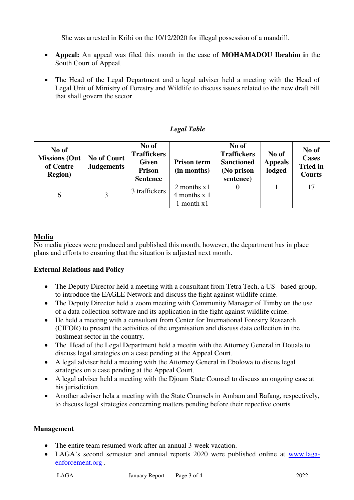She was arrested in Kribi on the 10/12/2020 for illegal possession of a mandrill.

- **Appeal:** An appeal was filed this month in the case of **MOHAMADOU Ibrahim i**n the South Court of Appeal.
- The Head of the Legal Department and a legal adviser held a meeting with the Head of Legal Unit of Ministry of Forestry and Wildlife to discuss issues related to the new draft bill that shall govern the sector.

### *Legal Table*

| No of<br><b>Missions (Out</b><br>of Centre<br><b>Region</b> ) | <b>No of Court</b><br><b>Judgements</b> | No of<br><b>Traffickers</b><br><b>Given</b><br><b>Prison</b><br><b>Sentence</b> | <b>Prison term</b><br>(in months) | No of<br><b>Traffickers</b><br><b>Sanctioned</b><br>(No prison<br>sentence) | No of<br><b>Appeals</b><br>lodged | No of<br><b>Cases</b><br><b>Tried</b> in<br><b>Courts</b> |
|---------------------------------------------------------------|-----------------------------------------|---------------------------------------------------------------------------------|-----------------------------------|-----------------------------------------------------------------------------|-----------------------------------|-----------------------------------------------------------|
| 6                                                             | 3                                       | 3 traffickers                                                                   | 2 months $x1$                     |                                                                             |                                   | 17                                                        |
|                                                               |                                         |                                                                                 | $4$ months x 1<br>month $x1$      |                                                                             |                                   |                                                           |

### **Media**

No media pieces were produced and published this month, however, the department has in place plans and efforts to ensuring that the situation is adjusted next month.

### **External Relations and Policy**

- The Deputy Director held a meeting with a consultant from Tetra Tech, a US-based group, to introduce the EAGLE Network and discuss the fight against wildlife crime.
- The Deputy Director held a zoom meeting with Community Manager of Timby on the use of a data collection software and its application in the fight against wildlife crime.
- He held a meeting with a consultant from Center for International Forestry Research (CIFOR) to present the activities of the organisation and discuss data collection in the bushmeat sector in the country.
- The Head of the Legal Department held a meetin with the Attorney General in Douala to discuss legal strategies on a case pending at the Appeal Court.
- A legal adviser held a meeting with the Attorney General in Ebolowa to discus legal strategies on a case pending at the Appeal Court.
- A legal adviser held a meeting with the Djoum State Counsel to discuss an ongoing case at his jurisdiction.
- Another adviser hela a meeting with the State Counsels in Ambam and Bafang, respectively, to discuss legal strategies concerning matters pending before their repective courts

### **Management**

- The entire team resumed work after an annual 3-week vacation.
- LAGA's second semester and annual reports 2020 were published online at [www.laga](http://www.laga-enforcement.org/)[enforcement.org](http://www.laga-enforcement.org/) .